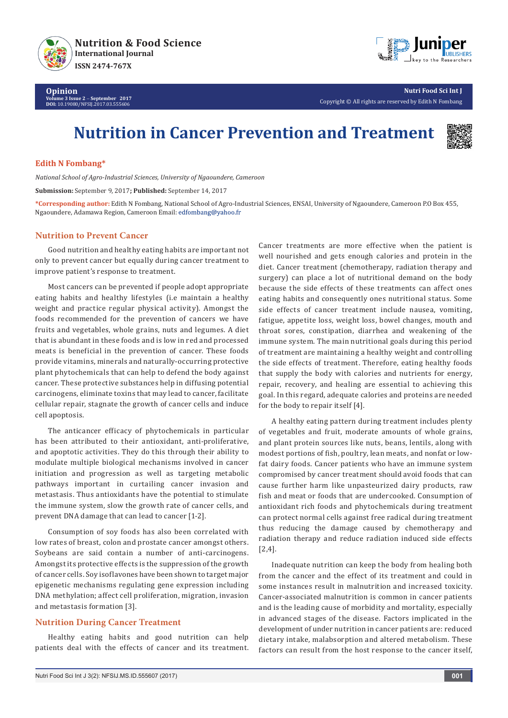



**Nutri Food Sci Int J** Copyright © All rights are reserved by Edith N Fombang

# **Nutrition in Cancer Prevention and Treatment**



## **Edith N Fombang\***

*National School of Agro-Industrial Sciences, University of Ngaoundere, Cameroon*

**Submission:** September 9, 2017**; Published:** September 14, 2017

**\*Corresponding author:** Edith N Fombang, National School of Agro-Industrial Sciences, ENSAI, University of Ngaoundere, Cameroon P.O Box 455, Ngaoundere, Adamawa Region, Cameroon Email:

#### **Nutrition to Prevent Cancer**

Good nutrition and healthy eating habits are important not only to prevent cancer but equally during cancer treatment to improve patient's response to treatment.

Most cancers can be prevented if people adopt appropriate eating habits and healthy lifestyles (i.e maintain a healthy weight and practice regular physical activity). Amongst the foods recommended for the prevention of cancers we have fruits and vegetables, whole grains, nuts and legumes. A diet that is abundant in these foods and is low in red and processed meats is beneficial in the prevention of cancer. These foods provide vitamins, minerals and naturally-occurring protective plant phytochemicals that can help to defend the body against cancer. These protective substances help in diffusing potential carcinogens, eliminate toxins that may lead to cancer, facilitate cellular repair, stagnate the growth of cancer cells and induce cell apoptosis.

The anticancer efficacy of phytochemicals in particular has been attributed to their antioxidant, anti-proliferative, and apoptotic activities. They do this through their ability to modulate multiple biological mechanisms involved in cancer initiation and progression as well as targeting metabolic pathways important in curtailing cancer invasion and metastasis. Thus antioxidants have the potential to stimulate the immune system, slow the growth rate of cancer cells, and prevent DNA damage that can lead to cancer [1-2].

Consumption of soy foods has also been correlated with low rates of breast, colon and prostate cancer amongst others. Soybeans are said contain a number of anti-carcinogens. Amongst its protective effects is the suppression of the growth of cancer cells. Soy isoflavones have been shown to target major epigenetic mechanisms regulating gene expression including DNA methylation; affect cell proliferation, migration, invasion and metastasis formation [3].

### **Nutrition During Cancer Treatment**

Healthy eating habits and good nutrition can help patients deal with the effects of cancer and its treatment. Cancer treatments are more effective when the patient is well nourished and gets enough calories and protein in the diet. Cancer treatment (chemotherapy, radiation therapy and surgery) can place a lot of nutritional demand on the body because the side effects of these treatments can affect ones eating habits and consequently ones nutritional status. Some side effects of cancer treatment include nausea, vomiting, fatigue, appetite loss, weight loss, bowel changes, mouth and throat sores, constipation, diarrhea and weakening of the immune system. The main nutritional goals during this period of treatment are maintaining a healthy weight and controlling the side effects of treatment. Therefore, eating healthy foods that supply the body with calories and nutrients for energy, repair, recovery, and healing are essential to achieving this goal. In this regard, adequate calories and proteins are needed for the body to repair itself [4].

A healthy eating pattern during treatment includes plenty of vegetables and fruit, moderate amounts of whole grains, and plant protein sources like nuts, beans, lentils, along with modest portions of fish, poultry, lean meats, and nonfat or lowfat dairy foods. Cancer patients who have an immune system compromised by cancer treatment should avoid foods that can cause further harm like unpasteurized dairy products, raw fish and meat or foods that are undercooked. Consumption of antioxidant rich foods and phytochemicals during treatment can protect normal cells against free radical during treatment thus reducing the damage caused by chemotherapy and radiation therapy and reduce radiation induced side effects [2,4].

Inadequate nutrition can keep the body from healing both from the cancer and the effect of its treatment and could in some instances result in malnutrition and increased toxicity. Cancer-associated malnutrition is common in cancer patients and is the leading cause of morbidity and mortality, especially in advanced stages of the disease. Factors implicated in the development of under nutrition in cancer patients are: reduced dietary intake, malabsorption and altered metabolism. These factors can result from the host response to the cancer itself,